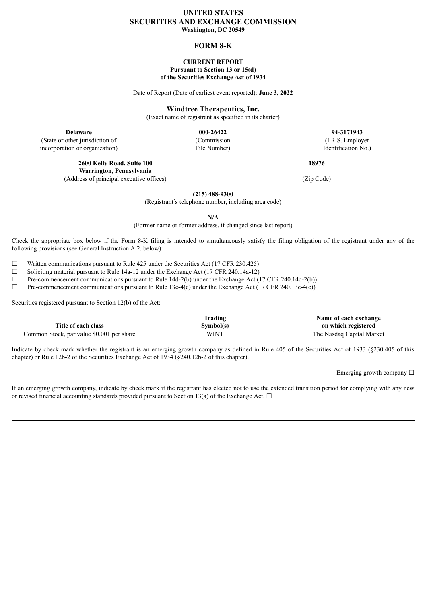# **UNITED STATES SECURITIES AND EXCHANGE COMMISSION Washington, DC 20549**

**FORM 8-K**

#### **CURRENT REPORT Pursuant to Section 13 or 15(d) of the Securities Exchange Act of 1934**

Date of Report (Date of earliest event reported): **June 3, 2022**

**Windtree Therapeutics, Inc.**

(Exact name of registrant as specified in its charter)

(State or other jurisdiction of incorporation or organization)

> **2600 Kelly Road, Suite 100 Warrington, Pennsylvania** (Address of principal executive offices) (Zip Code)

(Commission File Number)

**Delaware 000-26422 94-3171943** (I.R.S. Employer Identification No.)

**18976**

**(215) 488-9300**

(Registrant's telephone number, including area code)

**N/A**

(Former name or former address, if changed since last report)

Check the appropriate box below if the Form 8-K filing is intended to simultaneously satisfy the filing obligation of the registrant under any of the following provisions (see General Instruction A.2. below):

 $\Box$  Written communications pursuant to Rule 425 under the Securities Act (17 CFR 230.425)  $\Box$  Soliciting material pursuant to Rule 14a-12 under the Exchange Act (17 CFR 240.14a-12)

Soliciting material pursuant to Rule 14a-12 under the Exchange Act (17 CFR 240.14a-12)

 $\Box$  Pre-commencement communications pursuant to Rule 14d-2(b) under the Exchange Act (17 CFR 240.14d-2(b))

 $\Box$  Pre-commencement communications pursuant to Rule 13e-4(c) under the Exchange Act (17 CFR 240.13e-4(c))

Securities registered pursuant to Section 12(b) of the Act:

|                                           | Trading   | Name of each exchange     |
|-------------------------------------------|-----------|---------------------------|
| Title of each class                       | Svmbol(s) | on which registered       |
| Common Stock, par value \$0.001 per share | WINT      | The Nasdaq Capital Market |

Indicate by check mark whether the registrant is an emerging growth company as defined in Rule 405 of the Securities Act of 1933 (§230.405 of this chapter) or Rule 12b-2 of the Securities Exchange Act of 1934 (§240.12b-2 of this chapter).

Emerging growth company  $\Box$ 

If an emerging growth company, indicate by check mark if the registrant has elected not to use the extended transition period for complying with any new or revised financial accounting standards provided pursuant to Section 13(a) of the Exchange Act.  $\Box$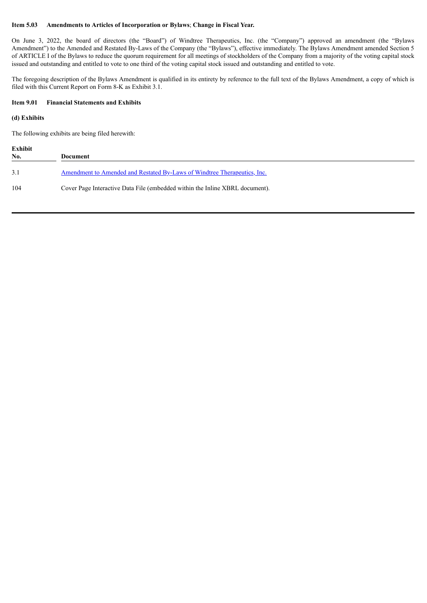#### **Item 5.03 Amendments to Articles of Incorporation or Bylaws**; **Change in Fiscal Year.**

On June 3, 2022, the board of directors (the "Board") of Windtree Therapeutics, Inc. (the "Company") approved an amendment (the "Bylaws Amendment") to the Amended and Restated By-Laws of the Company (the "Bylaws"), effective immediately. The Bylaws Amendment amended Section 5 of ARTICLE I of the Bylaws to reduce the quorum requirement for all meetings of stockholders of the Company from a majority of the voting capital stock issued and outstanding and entitled to vote to one third of the voting capital stock issued and outstanding and entitled to vote.

The foregoing description of the Bylaws Amendment is qualified in its entirety by reference to the full text of the Bylaws Amendment, a copy of which is filed with this Current Report on Form 8-K as Exhibit 3.1.

### **Item 9.01 Financial Statements and Exhibits**

### **(d) Exhibits**

The following exhibits are being filed herewith:

| Exhibit<br>No. | Document                                                                        |
|----------------|---------------------------------------------------------------------------------|
| 3.1            | <u>Amendment to Amended and Restated By-Laws of Windtree Therapeutics, Inc.</u> |
| 104            | Cover Page Interactive Data File (embedded within the Inline XBRL document).    |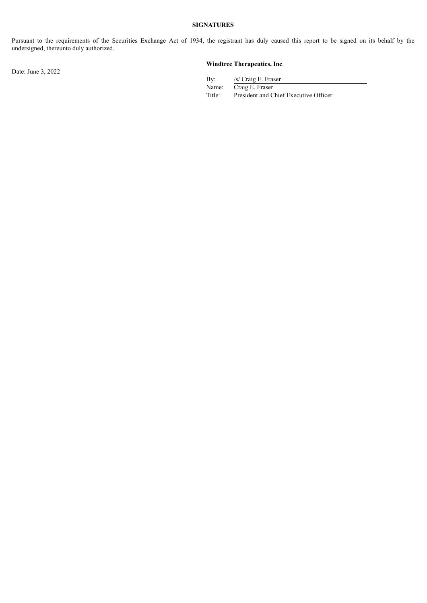# **SIGNATURES**

Pursuant to the requirements of the Securities Exchange Act of 1934, the registrant has duly caused this report to be signed on its behalf by the undersigned, thereunto duly authorized.

Date: June 3, 2022

# **Windtree Therapeutics, Inc**.

By: /s/ Craig E. Fraser

Name: Craig E. Fraser<br>Title: President and C President and Chief Executive Officer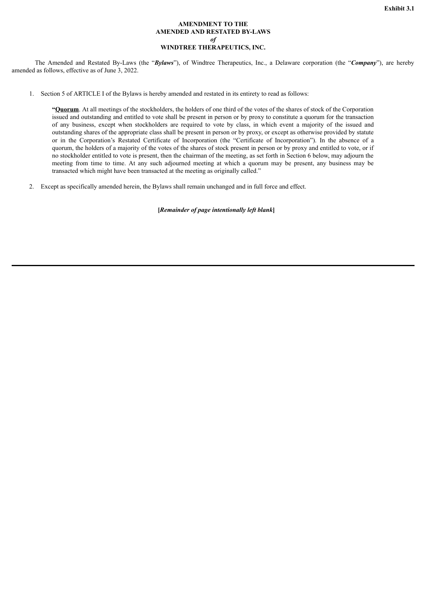### **AMENDMENT TO THE AMENDED AND RESTATED BY-LAWS** *of* **WINDTREE THERAPEUTICS, INC.**

<span id="page-3-0"></span>The Amended and Restated By-Laws (the "*Bylaws*"), of Windtree Therapeutics, Inc., a Delaware corporation (the "*Company*"), are hereby amended as follows, effective as of June 3, 2022.

1. Section 5 of ARTICLE I of the Bylaws is hereby amended and restated in its entirety to read as follows:

**"Quorum**. At all meetings of the stockholders, the holders of one third of the votes of the shares of stock of the Corporation issued and outstanding and entitled to vote shall be present in person or by proxy to constitute a quorum for the transaction of any business, except when stockholders are required to vote by class, in which event a majority of the issued and outstanding shares of the appropriate class shall be present in person or by proxy, or except as otherwise provided by statute or in the Corporation's Restated Certificate of Incorporation (the "Certificate of Incorporation"). In the absence of a quorum, the holders of a majority of the votes of the shares of stock present in person or by proxy and entitled to vote, or if no stockholder entitled to vote is present, then the chairman of the meeting, as set forth in Section 6 below, may adjourn the meeting from time to time. At any such adjourned meeting at which a quorum may be present, any business may be transacted which might have been transacted at the meeting as originally called."

2. Except as specifically amended herein, the Bylaws shall remain unchanged and in full force and effect.

**[***Remainder of page intentionally left blank***]**